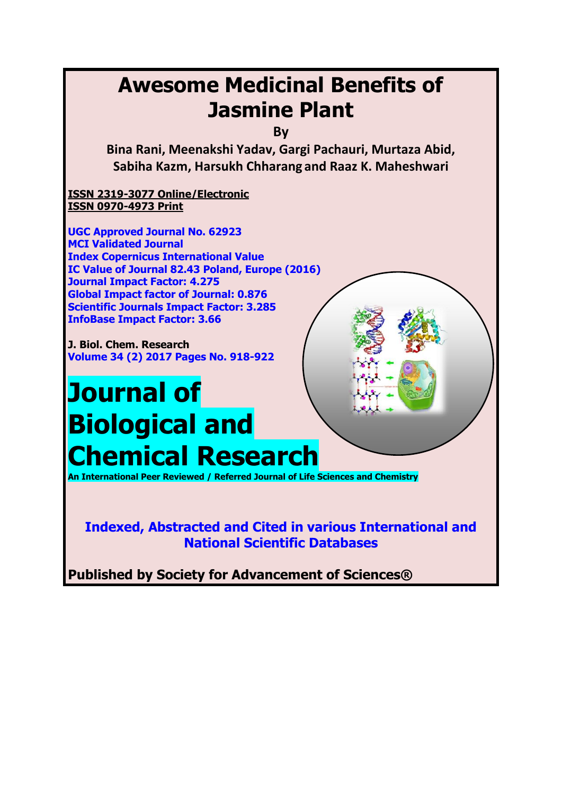## **Awesome Medicinal Benefits of Jasmine Plant**

**By**

**Bina Rani, Meenakshi Yadav, Gargi Pachauri, Murtaza Abid, Sabiha Kazm, Harsukh Chharang and Raaz K. Maheshwari**

**ISSN 2319-3077 Online/Electronic ISSN 0970-4973 Print**

**UGC Approved Journal No. 62923 MCI Validated Journal Index Copernicus International Value IC Value of Journal 82.43 Poland, Europe (2016) Journal Impact Factor: 4.275 Global Impact factor of Journal: 0.876 Scientific Journals Impact Factor: 3.285 InfoBase Impact Factor: 3.66**

**J. Biol. Chem. Research Volume 34 (2) 2017 Pages No. 918-922**

# **Journal of Biological and Chemical Research**

**An International Peer Reviewed / Referred Journal of Life Sciences and Chemistry**

**Indexed, Abstracted and Cited in various International and National Scientific Databases**

**Published by Society for Advancement of Sciences®**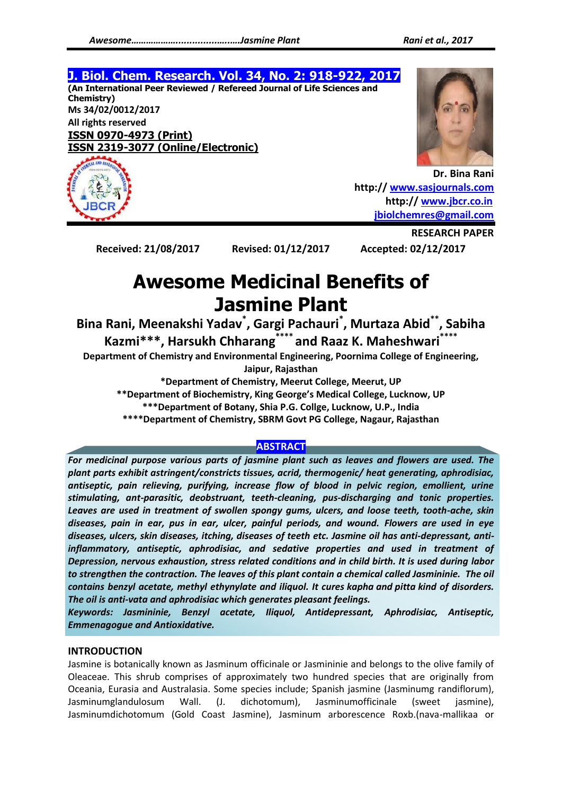#### **J. Biol. Chem. Research. Vol. 34, No. 2: 918-922, 2017 (An International Peer Reviewed / Refereed Journal of Life Sciences and Chemistry) Ms 34/02/0012/2017 All rights reserved ISSN 0970-4973 (Print) ISSN 2319-3077 (Online/Electronic)**



**Dr. Bina Rani http:// [www.sasjournals.com](http://www.sasjournals.com/) http:// [www.jbcr.co.in](http://www.jbcr.co.in/) [jbiolchemres@gmail.com](mailto:jbiolchemres@gmail.com)**

**Received: 21/08/2017 Revised: 01/12/2017 Accepted: 02/12/2017**

**RESEARCH PAPER**

### **Awesome Medicinal Benefits of Jasmine Plant**

**Bina Rani, Meenakshi Yadav\* , Gargi Pachauri\* , Murtaza Abid\*\* , Sabiha Kazmi\*\*\*, Harsukh Chharang\*\*\*\* and Raaz K. Maheshwari\*\*\*\***

**Department of Chemistry and Environmental Engineering, Poornima College of Engineering,** 

**Jaipur, Rajasthan**

**\*Department of Chemistry, Meerut College, Meerut, UP**

**\*\*Department of Biochemistry, King George's Medical College, Lucknow, UP**

**\*\*\*Department of Botany, Shia P.G. Collge, Lucknow, U.P., India**

**\*\*\*\*Department of Chemistry, SBRM Govt PG College, Nagaur, Rajasthan**

#### **ABSTRACT**

*For medicinal purpose various parts of jasmine plant such as leaves and flowers are used. The plant parts exhibit astringent/constricts tissues, acrid, thermogenic/ heat generating, aphrodisiac, antiseptic, pain relieving, purifying, increase flow of blood in pelvic region, emollient, urine stimulating, ant-parasitic, deobstruant, teeth-cleaning, pus-discharging and tonic properties. Leaves are used in treatment of swollen spongy gums, ulcers, and loose teeth, tooth-ache, skin diseases, pain in ear, pus in ear, ulcer, painful periods, and wound. Flowers are used in eye diseases, ulcers, skin diseases, itching, diseases of teeth etc. Jasmine oil has anti-depressant, antiinflammatory, antiseptic, aphrodisiac, and sedative properties and used in treatment of Depression, nervous exhaustion, stress related conditions and in child birth. It is used during labor to strengthen the contraction. The leaves of this plant contain a chemical called Jasmininie. The oil contains benzyl acetate, methyl ethynylate and iliquol. It cures kapha and pitta kind of disorders. The oil is anti-vata and aphrodisiac which generates pleasant feelings.*

*Keywords: Jasmininie, Benzyl acetate, Iliquol, Antidepressant, Aphrodisiac, Antiseptic, Emmenagogue and Antioxidative.*

#### **INTRODUCTION**

Jasmine is botanically known as Jasminum officinale or Jasmininie and belongs to the olive family of Oleaceae. This shrub comprises of approximately two hundred species that are originally from Oceania, Eurasia and Australasia. Some species include; Spanish jasmine (Jasminumg randiflorum), Jasminumglandulosum Wall. (J. dichotomum), Jasminumofficinale (sweet jasmine), Jasminumdichotomum (Gold Coast Jasmine), Jasminum arborescence Roxb.(nava-mallikaa or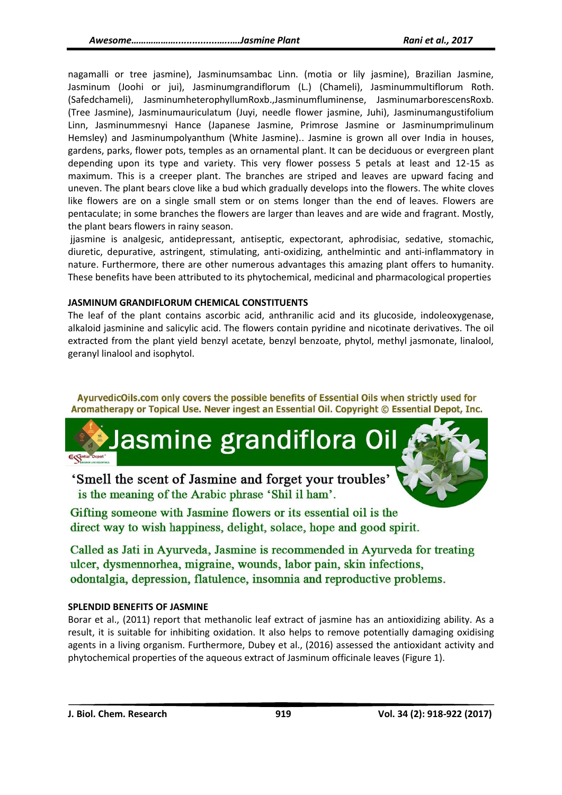nagamalli or tree jasmine), Jasminumsambac Linn. (motia or lily jasmine), Brazilian Jasmine, Jasminum (Joohi or jui), Jasminumgrandiflorum (L.) (Chameli), Jasminummultiflorum Roth. (Safedchameli), JasminumheterophyllumRoxb.,Jasminumfluminense, JasminumarborescensRoxb. (Tree Jasmine), Jasminumauriculatum (Juyi, needle flower jasmine, Juhi), Jasminumangustifolium Linn, Jasminummesnyi Hance (Japanese Jasmine, Primrose Jasmine or Jasminumprimulinum Hemsley) and Jasminumpolyanthum (White Jasmine).. Jasmine is grown all over India in houses, gardens, parks, flower pots, temples as an ornamental plant. It can be deciduous or evergreen plant depending upon its type and variety. This very flower possess 5 petals at least and 12-15 as maximum. This is a creeper plant. The branches are striped and leaves are upward facing and uneven. The plant bears clove like a bud which gradually develops into the flowers. The white cloves like flowers are on a single small stem or on stems longer than the end of leaves. Flowers are pentaculate; in some branches the flowers are larger than leaves and are wide and fragrant. Mostly, the plant bears flowers in rainy season.

jjasmine is analgesic, antidepressant, antiseptic, expectorant, aphrodisiac, sedative, stomachic, diuretic, depurative, astringent, stimulating, anti-oxidizing, anthelmintic and anti-inflammatory in nature. Furthermore, there are other numerous advantages this amazing plant offers to humanity. These benefits have been attributed to its phytochemical, medicinal and pharmacological properties

#### **JASMINUM GRANDIFLORUM CHEMICAL CONSTITUENTS**

The leaf of the plant contains ascorbic acid, anthranilic acid and its glucoside, indoleoxygenase, alkaloid jasminine and salicylic acid. The flowers contain pyridine and nicotinate derivatives. The oil extracted from the plant yield benzyl acetate, benzyl benzoate, phytol, methyl jasmonate, linalool, geranyl linalool and isophytol.

AyurvedicOils.com only covers the possible benefits of Essential Oils when strictly used for Aromatherapy or Topical Use. Never ingest an Essential Oil. Copyright © Essential Depot, Inc.

'Smell the scent of Jasmine and forget your troubles' is the meaning of the Arabic phrase 'Shil il ham'.

Gifting someone with Jasmine flowers or its essential oil is the direct way to wish happiness, delight, solace, hope and good spirit.

lasmine grandiflora O

Called as Jati in Ayurveda, Jasmine is recommended in Ayurveda for treating ulcer, dysmennorhea, migraine, wounds, labor pain, skin infections, odontalgia, depression, flatulence, insomnia and reproductive problems.

#### **SPLENDID BENEFITS OF JASMINE**

Borar et al., (2011) report that methanolic leaf extract of jasmine has an antioxidizing ability. As a result, it is suitable for inhibiting oxidation. It also helps to remove potentially damaging oxidising agents in a living organism. Furthermore, Dubey et al., (2016) assessed the antioxidant activity and phytochemical properties of the aqueous extract of Jasminum officinale leaves (Figure 1).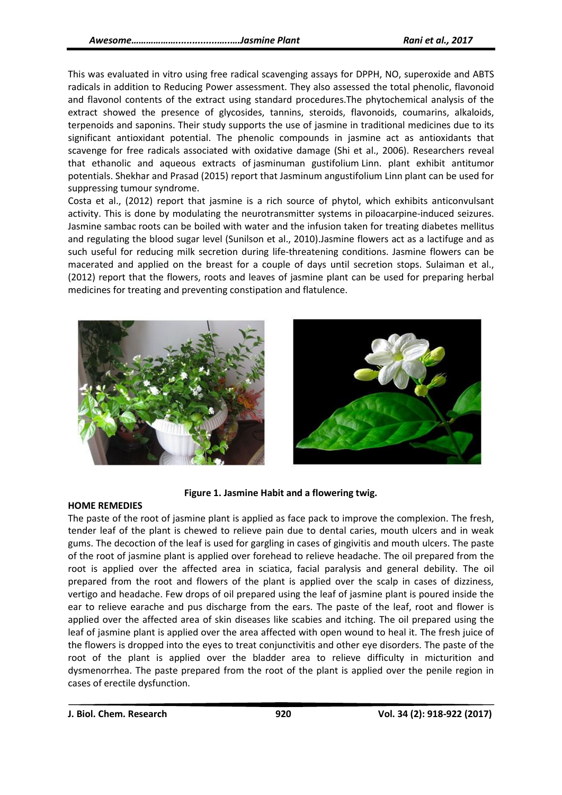This was evaluated in vitro using free radical scavenging assays for DPPH, NO, superoxide and ABTS radicals in addition to Reducing Power assessment. They also assessed the total phenolic, flavonoid and flavonol contents of the extract using standard procedures.The phytochemical analysis of the extract showed the presence of glycosides, tannins, steroids, flavonoids, coumarins, alkaloids, terpenoids and saponins. Their study supports the use of jasmine in traditional medicines due to its significant antioxidant potential. The phenolic compounds in jasmine act as antioxidants that scavenge for free radicals associated with oxidative damage (Shi et al., 2006). Researchers reveal that ethanolic and aqueous extracts of jasminuman gustifolium Linn. plant exhibit antitumor potentials. Shekhar and Prasad (2015) report that Jasminum angustifolium Linn plant can be used for suppressing tumour syndrome.

Costa et al., (2012) report that jasmine is a rich source of phytol, which exhibits anticonvulsant activity. This is done by modulating the neurotransmitter systems in piloacarpine-induced seizures. Jasmine sambac roots can be boiled with water and the infusion taken for treating diabetes mellitus and regulating the blood sugar level (Sunilson et al., 2010).Jasmine flowers act as a lactifuge and as such useful for reducing milk secretion during life-threatening conditions. Jasmine flowers can be macerated and applied on the breast for a couple of days until secretion stops. Sulaiman et al., (2012) report that the flowers, roots and leaves of jasmine plant can be used for preparing herbal medicines for treating and preventing constipation and flatulence.





#### **Figure 1. Jasmine Habit and a flowering twig.**

#### **HOME REMEDIES**

The paste of the root of jasmine plant is applied as face pack to improve the complexion. The fresh, tender leaf of the plant is chewed to relieve pain due to dental caries, mouth ulcers and in weak gums. The decoction of the leaf is used for gargling in cases of gingivitis and mouth ulcers. The paste of the root of jasmine plant is applied over forehead to relieve headache. The oil prepared from the root is applied over the affected area in sciatica, facial paralysis and general debility. The oil prepared from the root and flowers of the plant is applied over the scalp in cases of dizziness, vertigo and headache. Few drops of oil prepared using the leaf of jasmine plant is poured inside the ear to relieve earache and pus discharge from the ears. The paste of the leaf, root and flower is applied over the affected area of skin diseases like scabies and itching. The oil prepared using the leaf of jasmine plant is applied over the area affected with open wound to heal it. The fresh juice of the flowers is dropped into the eyes to treat conjunctivitis and other eye disorders. The paste of the root of the plant is applied over the bladder area to relieve difficulty in micturition and dysmenorrhea. The paste prepared from the root of the plant is applied over the penile region in cases of erectile dysfunction.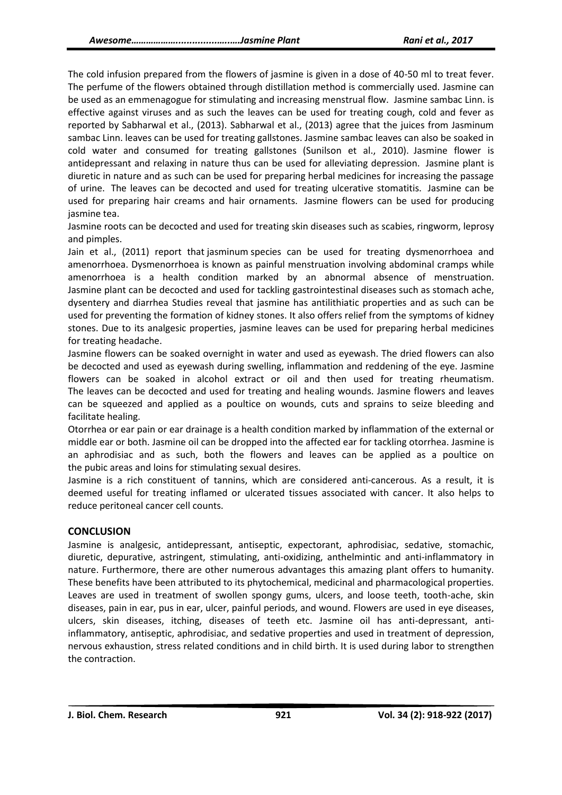The cold infusion prepared from the flowers of jasmine is given in a dose of 40-50 ml to treat fever. The perfume of the flowers obtained through distillation method is commercially used. Jasmine can be used as an emmenagogue for stimulating and increasing menstrual flow. Jasmine sambac Linn. is effective against viruses and as such the leaves can be used for treating cough, cold and fever as reported by Sabharwal et al., (2013). Sabharwal et al., (2013) agree that the juices from Jasminum sambac Linn. leaves can be used for treating gallstones. Jasmine sambac leaves can also be soaked in cold water and consumed for treating gallstones (Sunilson et al., 2010). Jasmine flower is antidepressant and relaxing in nature thus can be used for alleviating depression. Jasmine plant is diuretic in nature and as such can be used for preparing herbal medicines for increasing the passage of urine. The leaves can be decocted and used for treating ulcerative stomatitis. Jasmine can be used for preparing hair creams and hair ornaments. Jasmine flowers can be used for producing jasmine tea.

Jasmine roots can be decocted and used for treating skin diseases such as scabies, ringworm, leprosy and pimples.

Jain et al., (2011) report that jasminum species can be used for treating dysmenorrhoea and amenorrhoea. Dysmenorrhoea is known as painful menstruation involving abdominal cramps while amenorrhoea is a health condition marked by an abnormal absence of menstruation. Jasmine plant can be decocted and used for tackling gastrointestinal diseases such as stomach ache, dysentery and diarrhea Studies reveal that jasmine has antilithiatic properties and as such can be used for preventing the formation of kidney stones. It also offers relief from the symptoms of kidney stones. Due to its analgesic properties, jasmine leaves can be used for preparing herbal medicines for treating headache.

Jasmine flowers can be soaked overnight in water and used as eyewash. The dried flowers can also be decocted and used as eyewash during swelling, inflammation and reddening of the eye. Jasmine flowers can be soaked in alcohol extract or oil and then used for treating rheumatism. The leaves can be decocted and used for treating and healing wounds. Jasmine flowers and leaves can be squeezed and applied as a poultice on wounds, cuts and sprains to seize bleeding and facilitate healing.

Otorrhea or ear pain or ear drainage is a health condition marked by inflammation of the external or middle ear or both. Jasmine oil can be dropped into the affected ear for tackling otorrhea. Jasmine is an aphrodisiac and as such, both the flowers and leaves can be applied as a poultice on the pubic areas and loins for stimulating sexual desires.

Jasmine is a rich constituent of tannins, which are considered anti-cancerous. As a result, it is deemed useful for treating inflamed or ulcerated tissues associated with cancer. It also helps to reduce peritoneal cancer cell counts.

#### **CONCLUSION**

Jasmine is analgesic, antidepressant, antiseptic, expectorant, aphrodisiac, sedative, stomachic, diuretic, depurative, astringent, stimulating, anti-oxidizing, anthelmintic and anti-inflammatory in nature. Furthermore, there are other numerous advantages this amazing plant offers to humanity. These benefits have been attributed to its phytochemical, medicinal and pharmacological properties. Leaves are used in treatment of swollen spongy gums, ulcers, and loose teeth, tooth-ache, skin diseases, pain in ear, pus in ear, ulcer, painful periods, and wound. Flowers are used in eye diseases, ulcers, skin diseases, itching, diseases of teeth etc. Jasmine oil has anti-depressant, antiinflammatory, antiseptic, aphrodisiac, and sedative properties and used in treatment of depression, nervous exhaustion, stress related conditions and in child birth. It is used during labor to strengthen the contraction.